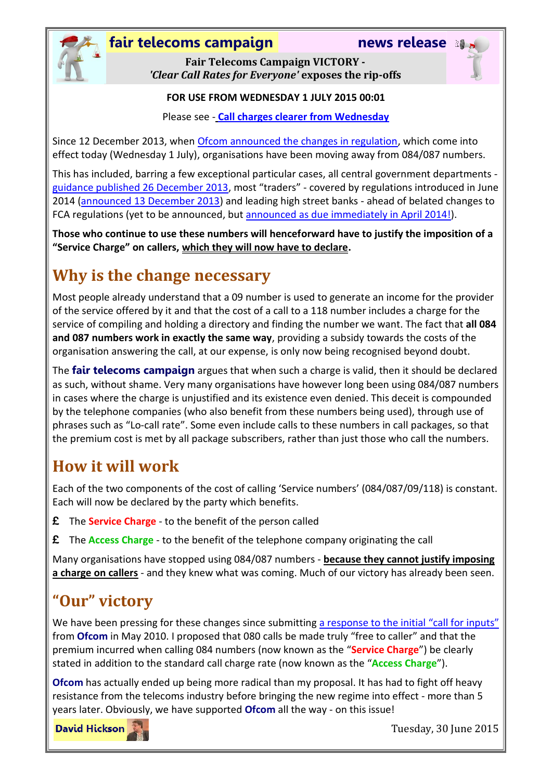

### **fair telecoms campaign news release**

**Fair Telecoms Campaign VICTORY -** *'Clear Call Rates for Everyone'* **exposes the rip-offs**

#### **FOR USE FROM WEDNESDAY 1 JULY 2015 00:01**

Please see - **[Call charges clearer from Wednesday](http://media.ofcom.org.uk/news/2015/call-charges-clearer-from-wednesday/)**

Since 12 December 2013, when [Ofcom announced the changes in regulation,](http://media.ofcom.org.uk/news/2013/Telephone-call-charges-to-be-made-simpler/) which come into effect today (Wednesday 1 July), organisations have been moving away from 084/087 numbers.

This has included, barring a few exceptional particular cases, all central government departments [guidance published 26 December 2013,](https://www.gov.uk/government/uploads/system/uploads/attachment_data/file/268785/hmg-guidance-customer-service-lines.pdf) most "traders" - covered by regulations introduced in June 2014 [\(announced 13 December 2013\)](https://www.gov.uk/government/news/government-cuts-off-costly-calls) and leading high street banks - ahead of belated changes to FCA regulations (yet to be announced, but [announced as due immediately in April 2014!\)](http://www.fca.org.uk/news/fca-says-time-to-end-premium-calls-for-consumers).

**Those who continue to use these numbers will henceforward have to justify the imposition of a "Service Charge" on callers, which they will now have to declare.**

# **Why is the change necessary**

Most people already understand that a 09 number is used to generate an income for the provider of the service offered by it and that the cost of a call to a 118 number includes a charge for the service of compiling and holding a directory and finding the number we want. The fact that **all 084 and 087 numbers work in exactly the same way**, providing a subsidy towards the costs of the organisation answering the call, at our expense, is only now being recognised beyond doubt.

The **fair telecoms campaign** argues that when such a charge is valid, then it should be declared as such, without shame. Very many organisations have however long been using 084/087 numbers in cases where the charge is unjustified and its existence even denied. This deceit is compounded by the telephone companies (who also benefit from these numbers being used), through use of phrases such as "Lo-call rate". Some even include calls to these numbers in call packages, so that the premium cost is met by all package subscribers, rather than just those who call the numbers.

## **How it will work**

Each of the two components of the cost of calling 'Service numbers' (084/087/09/118) is constant. Each will now be declared by the party which benefits.

- **£** The **Service Charge** to the benefit of the person called
- **£** The **Access Charge** to the benefit of the telephone company originating the call

Many organisations have stopped using 084/087 numbers - **because they cannot justify imposing a charge on callers** - and they knew what was coming. Much of our victory has already been seen.

# **"Our" victory**

We have been pressing for these changes since submitting [a response to the initial](http://stakeholders.ofcom.org.uk/binaries/consultations/ngnservices/responses/hickson-d.pdf) "call for inputs" from **Ofcom** in May 2010. I proposed that 080 calls be made truly "free to caller" and that the premium incurred when calling 084 numbers (now known as the "**Service Charge**") be clearly stated in addition to the standard call charge rate (now known as the "**Access Charge**").

**Ofcom** has actually ended up being more radical than my proposal. It has had to fight off heavy resistance from the telecoms industry before bringing the new regime into effect - more than 5 years later. Obviously, we have supported **Ofcom** all the way - on this issue!

**David Hickson** 

Tuesday, 30 June 2015